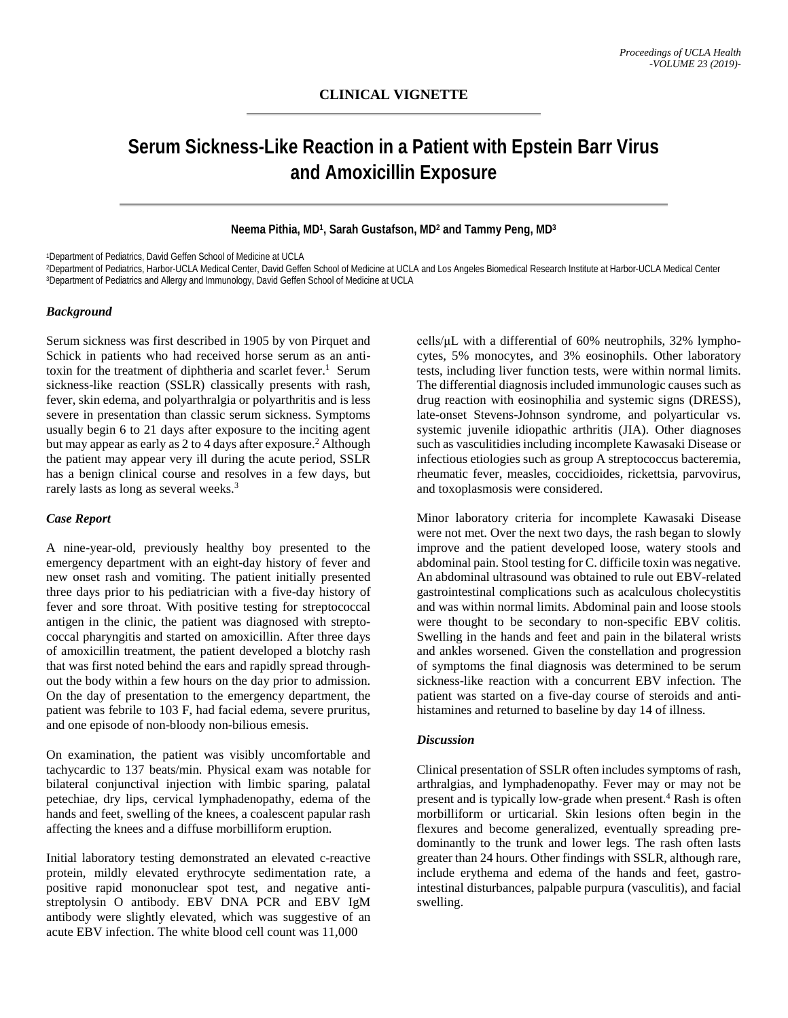# **Serum Sickness-Like Reaction in a Patient with Epstein Barr Virus and Amoxicillin Exposure**

## **Neema Pithia, MD1, Sarah Gustafson, MD2 and Tammy Peng, MD3**

1Department of Pediatrics, David Geffen School of Medicine at UCLA

2Department of Pediatrics, Harbor-UCLA Medical Center, David Geffen School of Medicine at UCLA and Los Angeles Biomedical Research Institute at Harbor-UCLA Medical Center 3Department of Pediatrics and Allergy and Immunology, David Geffen School of Medicine at UCLA

#### *Background*

Serum sickness was first described in 1905 by von Pirquet and Schick in patients who had received horse serum as an antitoxin for the treatment of diphtheria and scarlet fever.<sup>1</sup> Serum sickness-like reaction (SSLR) classically presents with rash, fever, skin edema, and polyarthralgia or polyarthritis and is less severe in presentation than classic serum sickness. Symptoms usually begin 6 to 21 days after exposure to the inciting agent but may appear as early as 2 to 4 days after exposure. <sup>2</sup> Although the patient may appear very ill during the acute period, SSLR has a benign clinical course and resolves in a few days, but rarely lasts as long as several weeks. 3

#### *Case Report*

A nine-year-old, previously healthy boy presented to the emergency department with an eight-day history of fever and new onset rash and vomiting. The patient initially presented three days prior to his pediatrician with a five-day history of fever and sore throat. With positive testing for streptococcal antigen in the clinic, the patient was diagnosed with streptococcal pharyngitis and started on amoxicillin. After three days of amoxicillin treatment, the patient developed a blotchy rash that was first noted behind the ears and rapidly spread throughout the body within a few hours on the day prior to admission. On the day of presentation to the emergency department, the patient was febrile to 103 F, had facial edema, severe pruritus, and one episode of non-bloody non-bilious emesis.

On examination, the patient was visibly uncomfortable and tachycardic to 137 beats/min. Physical exam was notable for bilateral conjunctival injection with limbic sparing, palatal petechiae, dry lips, cervical lymphadenopathy, edema of the hands and feet, swelling of the knees, a coalescent papular rash affecting the knees and a diffuse morbilliform eruption.

Initial laboratory testing demonstrated an elevated c-reactive protein, mildly elevated erythrocyte sedimentation rate, a positive rapid mononuclear spot test, and negative antistreptolysin O antibody. EBV DNA PCR and EBV IgM antibody were slightly elevated, which was suggestive of an acute EBV infection. The white blood cell count was 11,000

cells/μL with a differential of 60% neutrophils, 32% lymphocytes, 5% monocytes, and 3% eosinophils. Other laboratory tests, including liver function tests, were within normal limits. The differential diagnosis included immunologic causes such as drug reaction with eosinophilia and systemic signs (DRESS), late-onset Stevens-Johnson syndrome, and polyarticular vs. systemic juvenile idiopathic arthritis (JIA). Other diagnoses such as vasculitidies including incomplete Kawasaki Disease or infectious etiologies such as group A streptococcus bacteremia, rheumatic fever, measles, coccidioides, rickettsia, parvovirus, and toxoplasmosis were considered.

Minor laboratory criteria for incomplete Kawasaki Disease were not met. Over the next two days, the rash began to slowly improve and the patient developed loose, watery stools and abdominal pain. Stool testing for C. difficile toxin was negative. An abdominal ultrasound was obtained to rule out EBV-related gastrointestinal complications such as acalculous cholecystitis and was within normal limits. Abdominal pain and loose stools were thought to be secondary to non-specific EBV colitis. Swelling in the hands and feet and pain in the bilateral wrists and ankles worsened. Given the constellation and progression of symptoms the final diagnosis was determined to be serum sickness-like reaction with a concurrent EBV infection. The patient was started on a five-day course of steroids and antihistamines and returned to baseline by day 14 of illness.

#### *Discussion*

Clinical presentation of SSLR often includes symptoms of rash, arthralgias, and lymphadenopathy. Fever may or may not be present and is typically low-grade when present. <sup>4</sup> Rash is often morbilliform or urticarial. Skin lesions often begin in the flexures and become generalized, eventually spreading predominantly to the trunk and lower legs. The rash often lasts greater than 24 hours. Other findings with SSLR, although rare, include erythema and edema of the hands and feet, gastrointestinal disturbances, palpable purpura (vasculitis), and facial swelling.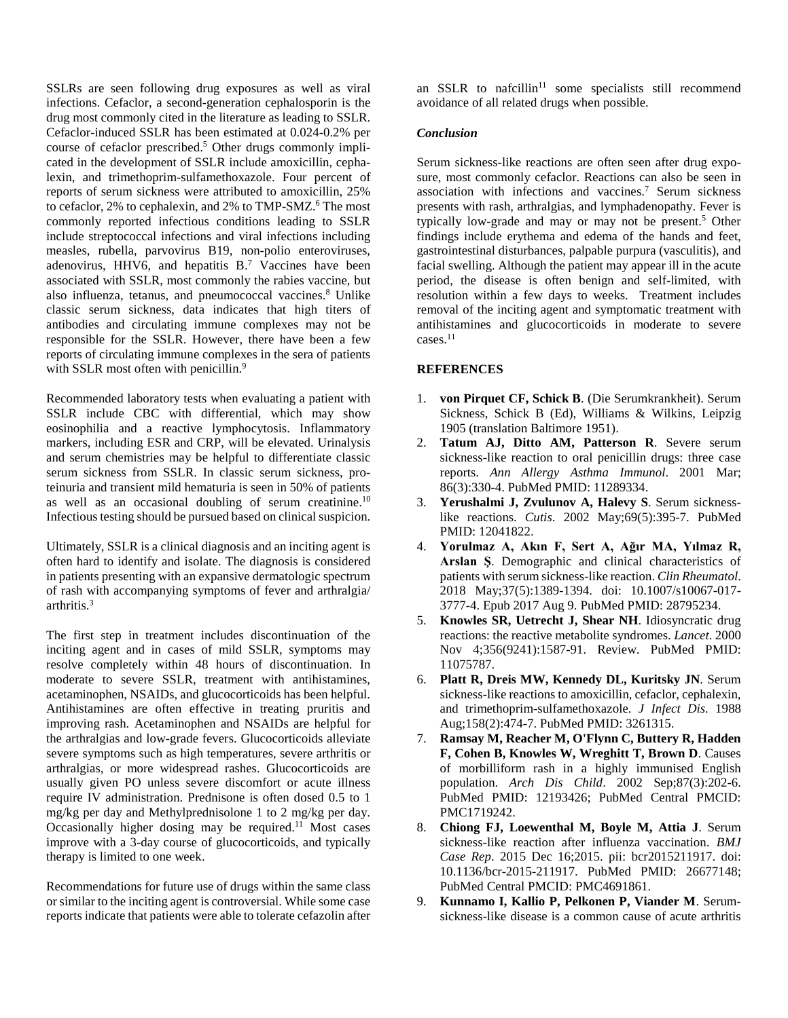SSLRs are seen following drug exposures as well as viral infections. Cefaclor, a second-generation cephalosporin is the drug most commonly cited in the literature as leading to SSLR. Cefaclor-induced SSLR has been estimated at 0.024-0.2% per course of cefaclor prescribed. <sup>5</sup> Other drugs commonly implicated in the development of SSLR include amoxicillin, cephalexin, and trimethoprim-sulfamethoxazole. Four percent of reports of serum sickness were attributed to amoxicillin, 25% to cefaclor, 2% to cephalexin, and 2% to TMP-SMZ. <sup>6</sup> The most commonly reported infectious conditions leading to SSLR include streptococcal infections and viral infections including measles, rubella, parvovirus B19, non-polio enteroviruses, adenovirus, HHV6, and hepatitis B. <sup>7</sup> Vaccines have been associated with SSLR, most commonly the rabies vaccine, but also influenza, tetanus, and pneumococcal vaccines. <sup>8</sup> Unlike classic serum sickness, data indicates that high titers of antibodies and circulating immune complexes may not be responsible for the SSLR. However, there have been a few reports of circulating immune complexes in the sera of patients with SSLR most often with penicillin.<sup>9</sup>

Recommended laboratory tests when evaluating a patient with SSLR include CBC with differential, which may show eosinophilia and a reactive lymphocytosis. Inflammatory markers, including ESR and CRP, will be elevated. Urinalysis and serum chemistries may be helpful to differentiate classic serum sickness from SSLR. In classic serum sickness, proteinuria and transient mild hematuria is seen in 50% of patients as well as an occasional doubling of serum creatinine.<sup>10</sup> Infectious testing should be pursued based on clinical suspicion.

Ultimately, SSLR is a clinical diagnosis and an inciting agent is often hard to identify and isolate. The diagnosis is considered in patients presenting with an expansive dermatologic spectrum of rash with accompanying symptoms of fever and arthralgia/ arthritis. 3

The first step in treatment includes discontinuation of the inciting agent and in cases of mild SSLR, symptoms may resolve completely within 48 hours of discontinuation. In moderate to severe SSLR, treatment with antihistamines, acetaminophen, NSAIDs, and glucocorticoids has been helpful. Antihistamines are often effective in treating pruritis and improving rash. Acetaminophen and NSAIDs are helpful for the arthralgias and low-grade fevers. Glucocorticoids alleviate severe symptoms such as high temperatures, severe arthritis or arthralgias, or more widespread rashes. Glucocorticoids are usually given PO unless severe discomfort or acute illness require IV administration. Prednisone is often dosed 0.5 to 1 mg/kg per day and Methylprednisolone 1 to 2 mg/kg per day. Occasionally higher dosing may be required. <sup>11</sup> Most cases improve with a 3-day course of glucocorticoids, and typically therapy is limited to one week.

Recommendations for future use of drugs within the same class or similar to the inciting agent is controversial. While some case reports indicate that patients were able to tolerate cefazolin after an SSLR to nafcillin<sup>11</sup> some specialists still recommend avoidance of all related drugs when possible.

## *Conclusion*

Serum sickness-like reactions are often seen after drug exposure, most commonly cefaclor. Reactions can also be seen in association with infections and vaccines. <sup>7</sup> Serum sickness presents with rash, arthralgias, and lymphadenopathy. Fever is typically low-grade and may or may not be present. <sup>5</sup> Other findings include erythema and edema of the hands and feet, gastrointestinal disturbances, palpable purpura (vasculitis), and facial swelling. Although the patient may appear ill in the acute period, the disease is often benign and self-limited, with resolution within a few days to weeks. Treatment includes removal of the inciting agent and symptomatic treatment with antihistamines and glucocorticoids in moderate to severe cases. 11

### **REFERENCES**

- 1. **von Pirquet CF, Schick B**. (Die Serumkrankheit). Serum Sickness, Schick B (Ed), Williams & Wilkins, Leipzig 1905 (translation Baltimore 1951).
- 2. **Tatum AJ, Ditto AM, Patterson R**. Severe serum sickness-like reaction to oral penicillin drugs: three case reports. *Ann Allergy Asthma Immunol*. 2001 Mar; 86(3):330-4. PubMed PMID: 11289334.
- 3. **Yerushalmi J, Zvulunov A, Halevy S**. Serum sicknesslike reactions. *Cutis*. 2002 May;69(5):395-7. PubMed PMID: 12041822.
- 4. **Yorulmaz A, Akın F, Sert A, Ağır MA, Yılmaz R, Arslan Ş**. Demographic and clinical characteristics of patients with serum sickness-like reaction. *Clin Rheumatol*. 2018 May;37(5):1389-1394. doi: 10.1007/s10067-017- 3777-4. Epub 2017 Aug 9. PubMed PMID: 28795234.
- 5. **Knowles SR, Uetrecht J, Shear NH**. Idiosyncratic drug reactions: the reactive metabolite syndromes. *Lancet*. 2000 Nov 4;356(9241):1587-91. Review. PubMed PMID: 11075787.
- 6. **Platt R, Dreis MW, Kennedy DL, Kuritsky JN**. Serum sickness-like reactions to amoxicillin, cefaclor, cephalexin, and trimethoprim-sulfamethoxazole. *J Infect Dis*. 1988 Aug;158(2):474-7. PubMed PMID: 3261315.
- 7. **Ramsay M, Reacher M, O'Flynn C, Buttery R, Hadden F, Cohen B, Knowles W, Wreghitt T, Brown D**. Causes of morbilliform rash in a highly immunised English population. *Arch Dis Child*. 2002 Sep;87(3):202-6. PubMed PMID: 12193426; PubMed Central PMCID: PMC1719242.
- 8. **Chiong FJ, Loewenthal M, Boyle M, Attia J**. Serum sickness-like reaction after influenza vaccination. *BMJ Case Rep*. 2015 Dec 16;2015. pii: bcr2015211917. doi: 10.1136/bcr-2015-211917. PubMed PMID: 26677148; PubMed Central PMCID: PMC4691861.
- 9. **Kunnamo I, Kallio P, Pelkonen P, Viander M**. Serumsickness-like disease is a common cause of acute arthritis